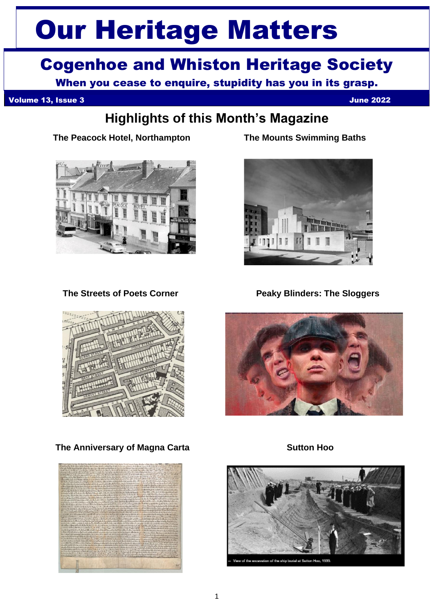# Our Heritage Matters

# Cogenhoe and Whiston Heritage Society

When you cease to enquire, stupidity has you in its grasp.

Volume 13, Issue 3 June 2022

## **Highlights of this Month's Magazine**

 **The Peacock Hotel, Northampton The Mounts Swimming Baths**







**The Streets of Poets Corner Community Peaky Blinders: The Sloggers** 



**The Anniversary of Magna Carta Sutton Hoo**